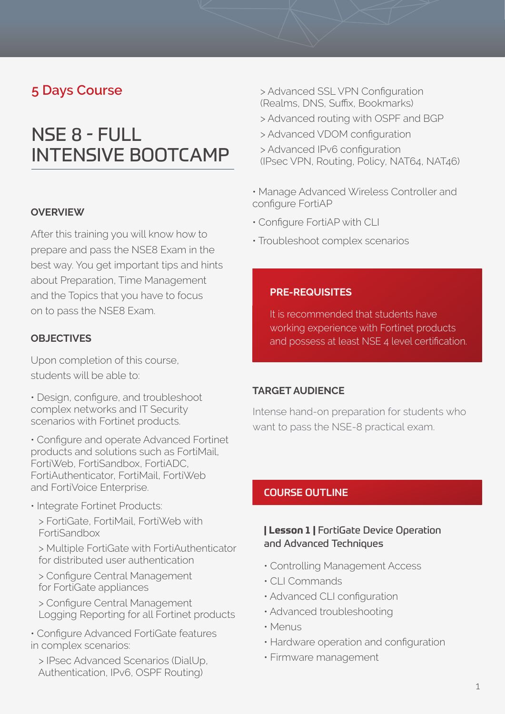# **5 Days Course**

# NSE 8 - FULL INTENSIVE BOOTCAMP  $\overline{a}$

#### **OVERVIEW**

After this training you will know how to prepare and pass the NSE8 Exam in the best way. You get important tips and hints about Preparation, Time Management and the Topics that you have to focus on to pass the NSE8 Exam.

#### **OBJECTIVES**

Upon completion of this course, students will be able to:

• Design, configure, and troubleshoot complex networks and IT Security scenarios with Fortinet products.

• Configure and operate Advanced Fortinet products and solutions such as FortiMail, FortiWeb, FortiSandbox, FortiADC, FortiAuthenticator, FortiMail, FortiWeb and FortiVoice Enterprise.

• Integrate Fortinet Products:

 > FortiGate, FortiMail, FortiWeb with FortiSandbox

 > Multiple FortiGate with FortiAuthenticator for distributed user authentication

 > Configure Central Management for FortiGate appliances

 > Configure Central Management Logging Reporting for all Fortinet products

• Configure Advanced FortiGate features in complex scenarios:

 > IPsec Advanced Scenarios (DialUp, Authentication, IPv6, OSPF Routing)

 > Advanced SSL VPN Configuration (Realms, DNS, Suffix, Bookmarks)

- > Advanced routing with OSPF and BGP
- > Advanced VDOM configuration

 > Advanced IPv6 configuration (IPsec VPN, Routing, Policy, NAT64, NAT46)

- Manage Advanced Wireless Controller and configure FortiAP
- Configure FortiAP with CLI
- Troubleshoot complex scenarios

#### **PRE-REQUISITES**

It is recommended that students have working experience with Fortinet products and possess at least NSE 4 level certification.

#### **TARGET AUDIENCE**

Intense hand-on preparation for students who want to pass the NSE-8 practical exam.

# COURSE OUTLINE

# **| Lesson 1 |** FortiGate Device Operation and Advanced Techniques

- Controlling Management Access
- CLI Commands
- Advanced CLI configuration
- Advanced troubleshooting
- Menus
- Hardware operation and configuration
- Firmware management